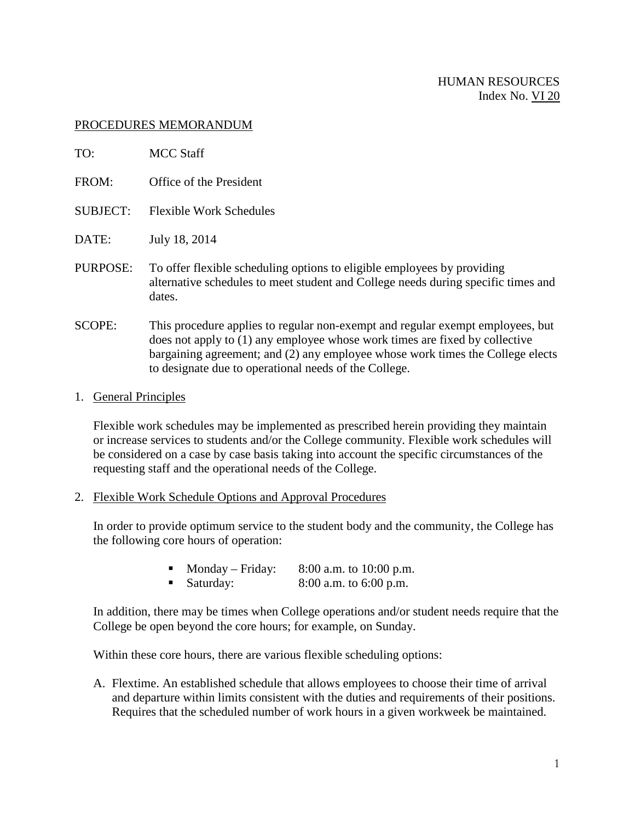## PROCEDURES MEMORANDUM

| TO:             | <b>MCC Staff</b>                                                                                                                                                                                                                                |
|-----------------|-------------------------------------------------------------------------------------------------------------------------------------------------------------------------------------------------------------------------------------------------|
| FROM:           | Office of the President                                                                                                                                                                                                                         |
| <b>SUBJECT:</b> | <b>Flexible Work Schedules</b>                                                                                                                                                                                                                  |
| DATE:           | July 18, 2014                                                                                                                                                                                                                                   |
| PURPOSE:        | To offer flexible scheduling options to eligible employees by providing<br>alternative schedules to meet student and College needs during specific times and<br>dates.                                                                          |
| <b>SCOPE:</b>   | This procedure applies to regular non-exempt and regular exempt employees, but<br>does not apply to (1) any employee whose work times are fixed by collective<br>bargaining agreement; and (2) any employee whose work times the College elects |

## 1. General Principles

Flexible work schedules may be implemented as prescribed herein providing they maintain or increase services to students and/or the College community. Flexible work schedules will be considered on a case by case basis taking into account the specific circumstances of the requesting staff and the operational needs of the College.

2. Flexible Work Schedule Options and Approval Procedures

In order to provide optimum service to the student body and the community, the College has the following core hours of operation:

• Monday – Friday: 8:00 a.m. to 10:00 p.m.

to designate due to operational needs of the College.

Saturday:  $8:00$  a.m. to  $6:00$  p.m.

In addition, there may be times when College operations and/or student needs require that the College be open beyond the core hours; for example, on Sunday.

Within these core hours, there are various flexible scheduling options:

A. Flextime. An established schedule that allows employees to choose their time of arrival and departure within limits consistent with the duties and requirements of their positions. Requires that the scheduled number of work hours in a given workweek be maintained.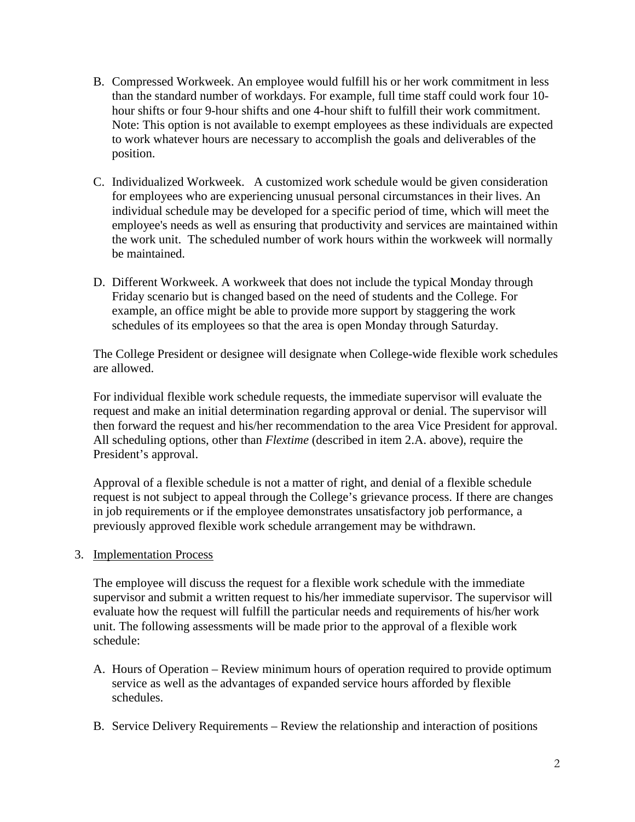- B. Compressed Workweek. An employee would fulfill his or her work commitment in less than the standard number of workdays. For example, full time staff could work four 10 hour shifts or four 9-hour shifts and one 4-hour shift to fulfill their work commitment. Note: This option is not available to exempt employees as these individuals are expected to work whatever hours are necessary to accomplish the goals and deliverables of the position.
- C. Individualized Workweek. A customized work schedule would be given consideration for employees who are experiencing unusual personal circumstances in their lives. An individual schedule may be developed for a specific period of time, which will meet the employee's needs as well as ensuring that productivity and services are maintained within the work unit. The scheduled number of work hours within the workweek will normally be maintained.
- D. Different Workweek. A workweek that does not include the typical Monday through Friday scenario but is changed based on the need of students and the College. For example, an office might be able to provide more support by staggering the work schedules of its employees so that the area is open Monday through Saturday.

The College President or designee will designate when College-wide flexible work schedules are allowed.

For individual flexible work schedule requests, the immediate supervisor will evaluate the request and make an initial determination regarding approval or denial. The supervisor will then forward the request and his/her recommendation to the area Vice President for approval. All scheduling options, other than *Flextime* (described in item 2.A. above), require the President's approval.

Approval of a flexible schedule is not a matter of right, and denial of a flexible schedule request is not subject to appeal through the College's grievance process. If there are changes in job requirements or if the employee demonstrates unsatisfactory job performance, a previously approved flexible work schedule arrangement may be withdrawn.

## 3. Implementation Process

The employee will discuss the request for a flexible work schedule with the immediate supervisor and submit a written request to his/her immediate supervisor. The supervisor will evaluate how the request will fulfill the particular needs and requirements of his/her work unit. The following assessments will be made prior to the approval of a flexible work schedule:

- A. Hours of Operation Review minimum hours of operation required to provide optimum service as well as the advantages of expanded service hours afforded by flexible schedules.
- B. Service Delivery Requirements Review the relationship and interaction of positions